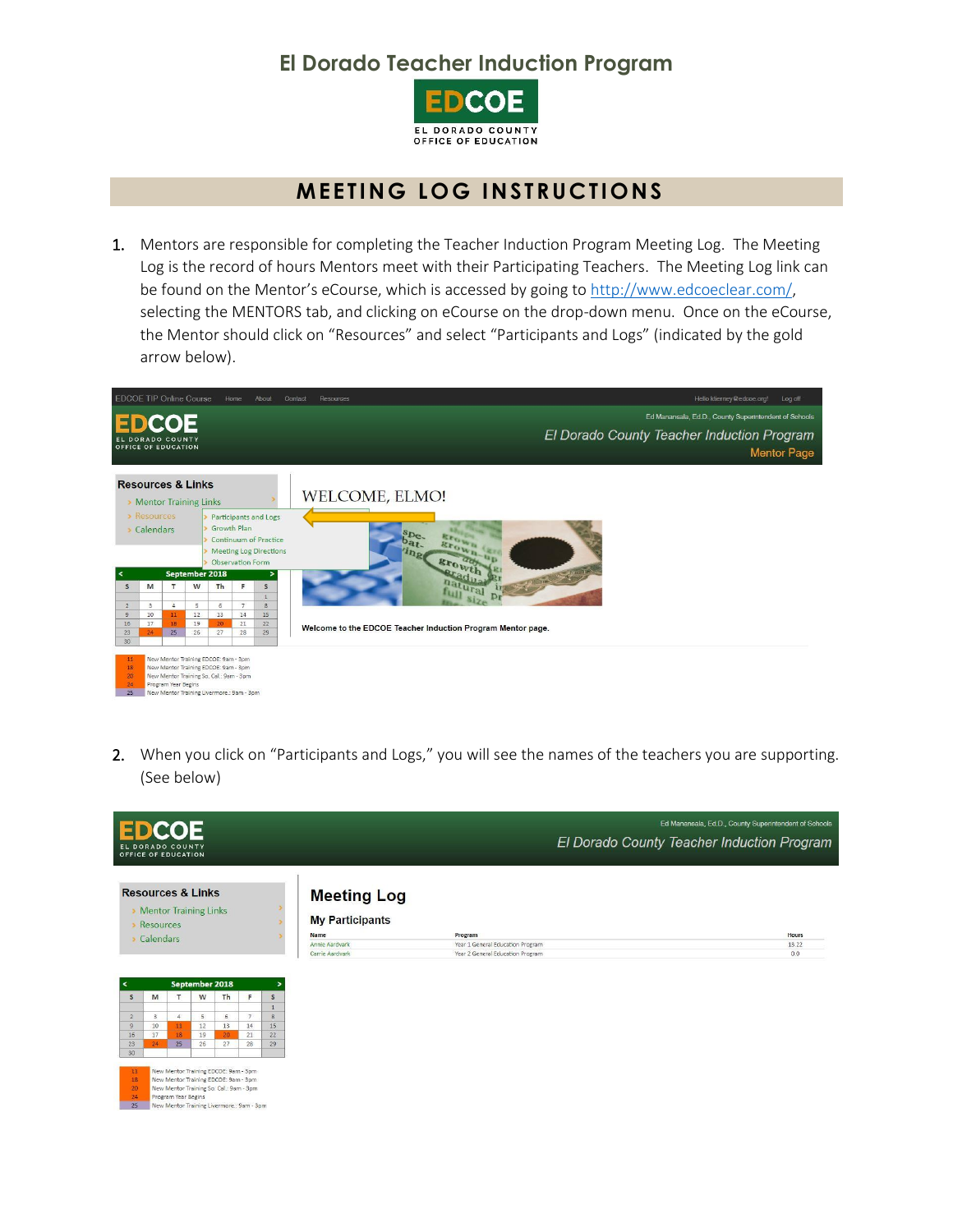## **El Dorado Teacher Induction Program**



## **MEETING LOG INSTRUCTIONS**

1. Mentors are responsible for completing the Teacher Induction Program Meeting Log. The Meeting Log is the record of hours Mentors meet with their Participating Teachers. The Meeting Log link can be found on the Mentor's eCourse, which is accessed by going to [http://www.edcoeclear.com/,](http://www.edcoeclear.com/) selecting the MENTORS tab, and clicking on eCourse on the drop-down menu. Once on the eCourse, the Mentor should click on "Resources" and select "Participants and Logs" (indicated by the gold arrow below).

| <b>EDCOE TIP Online Course</b>          |                                                                                                                                                                                             |                |    |                                        | Home           | About                                                                           | Resources<br>Hello ktierney@edcoe.org!<br>Log off<br>Contact     |  |  |  |
|-----------------------------------------|---------------------------------------------------------------------------------------------------------------------------------------------------------------------------------------------|----------------|----|----------------------------------------|----------------|---------------------------------------------------------------------------------|------------------------------------------------------------------|--|--|--|
| <b>EDCOE</b>                            |                                                                                                                                                                                             |                |    |                                        |                |                                                                                 | Ed Manansala, Ed.D., County Superintendent of Schools            |  |  |  |
| EL DORADO COUNTY<br>OFFICE OF EDUCATION |                                                                                                                                                                                             |                |    |                                        |                |                                                                                 | El Dorado County Teacher Induction Program<br><b>Mentor Page</b> |  |  |  |
|                                         | <b>Resources &amp; Links</b><br>Mentor Training Links                                                                                                                                       |                |    |                                        |                |                                                                                 | WELCOME, ELMO!                                                   |  |  |  |
|                                         | > Resources<br>Calendars                                                                                                                                                                    |                |    | Growth Plan<br><b>Observation Form</b> |                | Participants and Logs<br><b>Continuum of Practice</b><br>Meeting Log Directions | spe.<br><b>Brown up</b><br>growth                                |  |  |  |
| ≺                                       |                                                                                                                                                                                             | September 2018 |    |                                        |                |                                                                                 | adu <sub>2</sub>                                                 |  |  |  |
| S                                       | M                                                                                                                                                                                           | $\mathbf{T}$   | W  | Th                                     | F              | $\mathsf{s}$<br>$\mathbf{1}$                                                    | natural                                                          |  |  |  |
| $\overline{2}$                          | 3                                                                                                                                                                                           | $\Delta$       | 5  | 6                                      | $\overline{7}$ | $\overline{8}$                                                                  |                                                                  |  |  |  |
| $\overline{9}$                          | 10                                                                                                                                                                                          | 11             | 12 | 13                                     | 14             | 15                                                                              |                                                                  |  |  |  |
| 16                                      | 17                                                                                                                                                                                          | 18             | 19 | 20                                     | 21             | 22                                                                              | Welcome to the EDCOE Teacher Induction Program Mentor page.      |  |  |  |
| 23                                      | 24                                                                                                                                                                                          | 25             | 26 | 27                                     | 28             | 29                                                                              |                                                                  |  |  |  |
| 30                                      |                                                                                                                                                                                             |                |    |                                        |                |                                                                                 |                                                                  |  |  |  |
| 11<br>18<br>20 <sup>°</sup><br>24<br>25 | New Mentor Training EDCOE: 9am - 3pm<br>New Mentor Training EDCOE: 9am - 3pm<br>New Mentor Training So. Cal.: 9am - 3pm<br>Program Year Begins<br>New Mentor Training Livermore.: 9am - 3pm |                |    |                                        |                |                                                                                 |                                                                  |  |  |  |

2. When you click on "Participants and Logs," you will see the names of the teachers you are supporting. (See below)

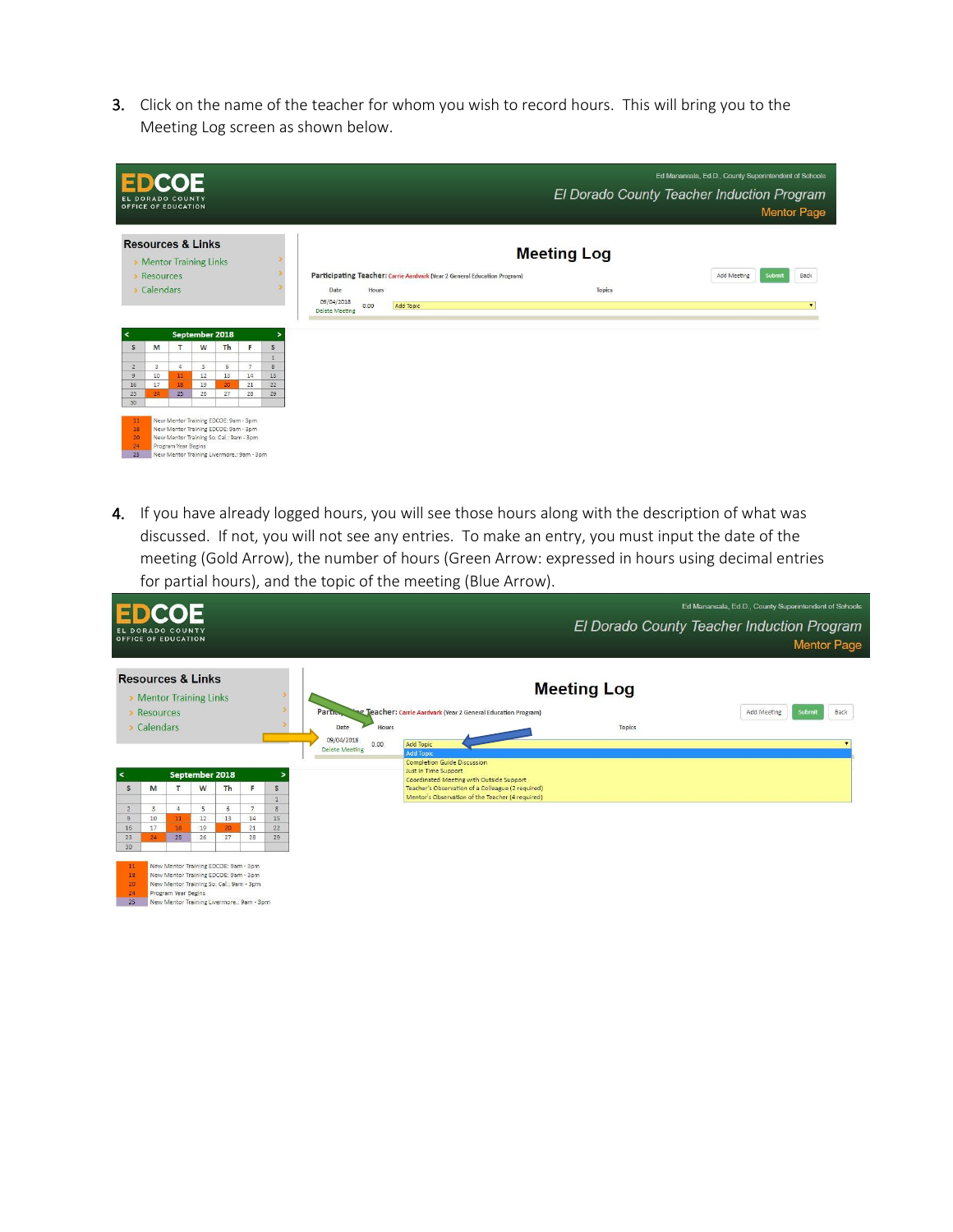3. Click on the name of the teacher for whom you wish to record hours. This will bring you to the Meeting Log screen as shown below.

|                                                       |                  | <b>EDCOE</b><br>EL DORADO COUNTY<br>OFFICE OF EDUCATION                                                                                                                                     |         |                |         |                    |                                                                           |           |  |                    | El Dorado County Teacher Induction Program | Ed Manansala, Ed.D., County Superintendent of Schools |             |        | <b>Mentor Page</b> |
|-------------------------------------------------------|------------------|---------------------------------------------------------------------------------------------------------------------------------------------------------------------------------------------|---------|----------------|---------|--------------------|---------------------------------------------------------------------------|-----------|--|--------------------|--------------------------------------------|-------------------------------------------------------|-------------|--------|--------------------|
| <b>Resources &amp; Links</b><br>Mentor Training Links |                  |                                                                                                                                                                                             |         |                |         |                    |                                                                           |           |  | <b>Meeting Log</b> |                                            |                                                       |             |        |                    |
|                                                       | <b>Resources</b> |                                                                                                                                                                                             |         |                |         |                    | Participating Teacher: Carrie Aardvark (Year 2 General Education Program) |           |  |                    |                                            |                                                       | Add Meeting | Submit | Back               |
|                                                       | Calendars        |                                                                                                                                                                                             |         |                |         |                    | Date<br>Hours                                                             |           |  |                    | Topics                                     |                                                       |             |        |                    |
|                                                       |                  |                                                                                                                                                                                             |         |                |         |                    | 09/04/2018<br>0.00<br><b>Delete Meeting</b>                               | Add Topic |  |                    |                                            |                                                       |             |        | $\bullet$          |
|                                                       |                  |                                                                                                                                                                                             |         | September 2018 |         | $\,>\,$            |                                                                           |           |  |                    |                                            |                                                       |             |        |                    |
| S                                                     | M                |                                                                                                                                                                                             | W       | Th             | F       | S                  |                                                                           |           |  |                    |                                            |                                                       |             |        |                    |
|                                                       |                  |                                                                                                                                                                                             |         |                |         | $\mathbf{1}$       |                                                                           |           |  |                    |                                            |                                                       |             |        |                    |
| $\overline{2}$<br>$\overline{9}$                      | 3<br>10          | $\overline{4}$<br>11                                                                                                                                                                        | 5<br>12 | 6<br>13        | 7<br>14 | $\mathbf{g}$<br>15 |                                                                           |           |  |                    |                                            |                                                       |             |        |                    |
| 16                                                    | 17               | 18                                                                                                                                                                                          | 19      | 20             | 21      | 22                 |                                                                           |           |  |                    |                                            |                                                       |             |        |                    |
| 23                                                    | 24               | 25                                                                                                                                                                                          | 26      | 27             | 28      | 29                 |                                                                           |           |  |                    |                                            |                                                       |             |        |                    |
| 30                                                    |                  |                                                                                                                                                                                             |         |                |         |                    |                                                                           |           |  |                    |                                            |                                                       |             |        |                    |
| 11<br>18<br>20<br>24<br>25                            |                  | New Mentor Training EDCOE: 9am - 3pm<br>New Mentor Training EDCOE: 9am - 3pm<br>New Mentor Training So. Cal.: 9am - 3pm<br>Program Year Begins<br>New Mentor Training Livermore.: 9am - 3pm |         |                |         |                    |                                                                           |           |  |                    |                                            |                                                       |             |        |                    |

4. If you have already logged hours, you will see those hours along with the description of what was discussed. If not, you will not see any entries. To make an entry, you must input the date of the meeting (Gold Arrow), the number of hours (Green Arrow: expressed in hours using decimal entries for partial hours), and the topic of the meeting (Blue Arrow).